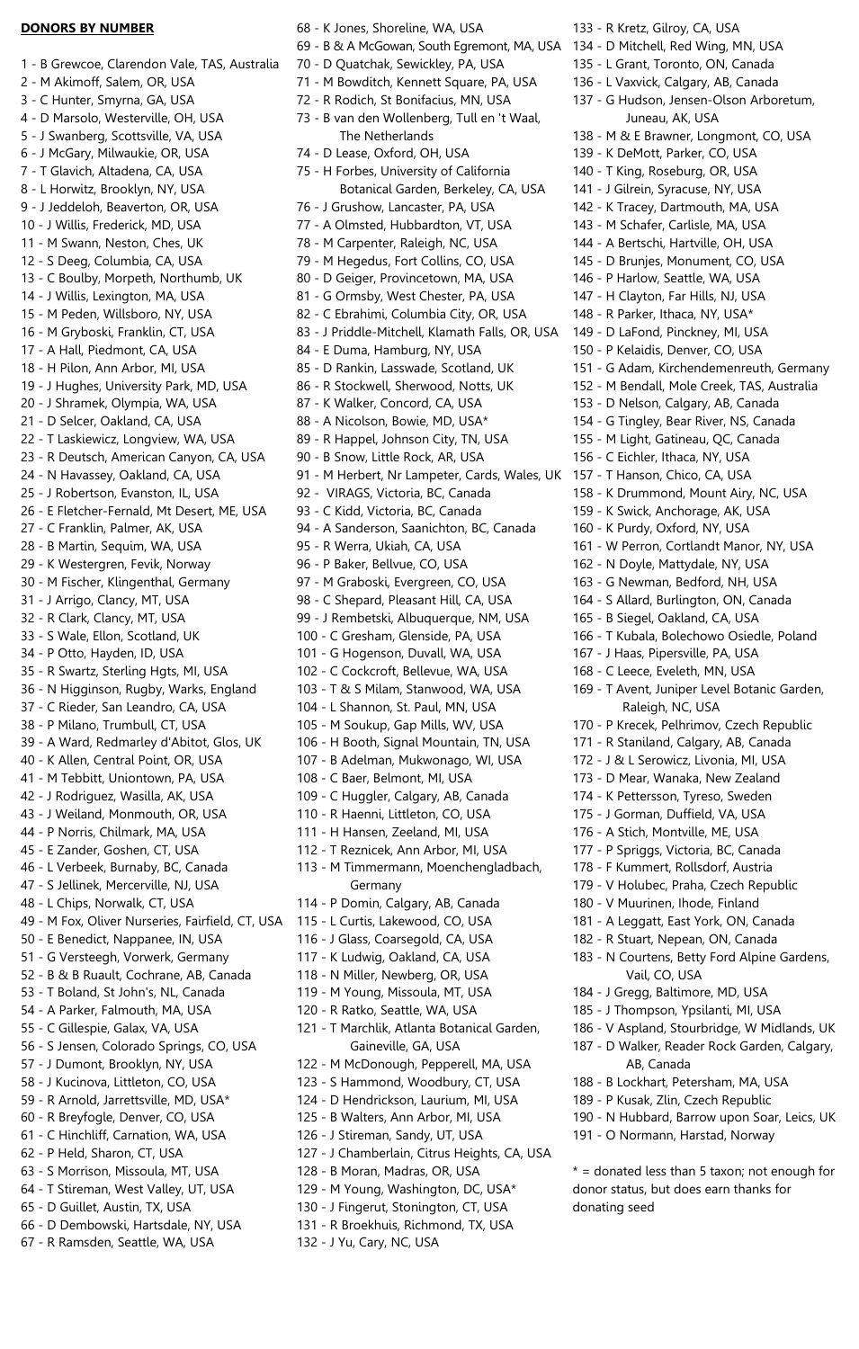## **DONORS BY NUMBER**

- 1 B Grewcoe, Clarendon Vale, TAS, Australia 2 - M Akimoff, Salem, OR, USA 3 - C Hunter, Smyrna, GA, USA 4 - D Marsolo, Westerville, OH, USA 5 - J Swanberg, Scottsville, VA, USA 6 - J McGary, Milwaukie, OR, USA 7 - T Glavich, Altadena, CA, USA 8 - L Horwitz, Brooklyn, NY, USA 9 - J Jeddeloh, Beaverton, OR, USA 10 - J Willis, Frederick, MD, USA 11 - M Swann, Neston, Ches, UK 12 - S Deeg, Columbia, CA, USA 13 - C Boulby, Morpeth, Northumb, UK 14 - J Willis, Lexington, MA, USA 15 - M Peden, Willsboro, NY, USA 16 - M Gryboski, Franklin, CT, USA 17 - A Hall, Piedmont, CA, USA 18 - H Pilon, Ann Arbor, MI, USA 19 - J Hughes, University Park, MD, USA 20 - J Shramek, Olympia, WA, USA 21 - D Selcer, Oakland, CA, USA 22 - T Laskiewicz, Longview, WA, USA 23 - R Deutsch, American Canyon, CA, USA 24 - N Havassey, Oakland, CA, USA 25 - J Robertson, Evanston, IL, USA 26 - E Fletcher-Fernald, Mt Desert, ME, USA 27 - C Franklin, Palmer, AK, USA 28 - B Martin, Sequim, WA, USA 29 - K Westergren, Fevik, Norway 30 - M Fischer, Klingenthal, Germany 31 - J Arrigo, Clancy, MT, USA 32 - R Clark, Clancy, MT, USA 33 - S Wale, Ellon, Scotland, UK 34 - P Otto, Hayden, ID, USA 35 - R Swartz, Sterling Hgts, MI, USA 36 - N Higginson, Rugby, Warks, England 37 - C Rieder, San Leandro, CA, USA 38 - P Milano, Trumbull, CT, USA 39 - A Ward, Redmarley d'Abitot, Glos, UK 40 - K Allen, Central Point, OR, USA 41 - M Tebbitt, Uniontown, PA, USA 42 - J Rodriguez, Wasilla, AK, USA 43 - J Weiland, Monmouth, OR, USA 44 - P Norris, Chilmark, MA, USA 45 - E Zander, Goshen, CT, USA 46 - L Verbeek, Burnaby, BC, Canada 47 - S Jellinek, Mercerville, NJ, USA 48 - L Chips, Norwalk, CT, USA 49 - M Fox, Oliver Nurseries, Fairfield, CT, USA 50 - E Benedict, Nappanee, IN, USA 51 - G Versteegh, Vorwerk, Germany 52 - B & B Ruault, Cochrane, AB, Canada 53 - T Boland, St John's, NL, Canada 54 - A Parker, Falmouth, MA, USA 55 - C Gillespie, Galax, VA, USA 56 - S Jensen, Colorado Springs, CO, USA 57 - J Dumont, Brooklyn, NY, USA 58 - J Kucinova, Littleton, CO, USA 59 - R Arnold, Jarrettsville, MD, USA\* 60 - R Breyfogle, Denver, CO, USA 61 - C Hinchliff, Carnation, WA, USA 62 - P Held, Sharon, CT, USA 63 - S Morrison, Missoula, MT, USA 64 - T Stireman, West Valley, UT, USA 65 - D Guillet, Austin, TX, USA 66 - D Dembowski, Hartsdale, NY, USA
	- 67 R Ramsden, Seattle, WA, USA
- 68 K Jones, Shoreline, WA, USA 69 - B & A McGowan, South Egremont, MA, USA 70 - D Quatchak, Sewickley, PA, USA 71 - M Bowditch, Kennett Square, PA, USA 72 - R Rodich, St Bonifacius, MN, USA 73 - B van den Wollenberg, Tull en 't Waal, The Netherlands 74 - D Lease, Oxford, OH, USA 75 - H Forbes, University of California Botanical Garden, Berkeley, CA, USA 76 - J Grushow, Lancaster, PA, USA 77 - A Olmsted, Hubbardton, VT, USA 78 - M Carpenter, Raleigh, NC, USA 79 - M Hegedus, Fort Collins, CO, USA 80 - D Geiger, Provincetown, MA, USA 81 - G Ormsby, West Chester, PA, USA 82 - C Ebrahimi, Columbia City, OR, USA 83 - J Priddle-Mitchell, Klamath Falls, OR, USA 84 - E Duma, Hamburg, NY, USA 85 - D Rankin, Lasswade, Scotland, UK 86 - R Stockwell, Sherwood, Notts, UK 87 - K Walker, Concord, CA, USA 88 - A Nicolson, Bowie, MD, USA\* 89 - R Happel, Johnson City, TN, USA 90 - B Snow, Little Rock, AR, USA 91 - M Herbert, Nr Lampeter, Cards, Wales, UK 157 - T Hanson, Chico, CA, USA 92 - VIRAGS, Victoria, BC, Canada 93 - C Kidd, Victoria, BC, Canada 94 - A Sanderson, Saanichton, BC, Canada 95 - R Werra, Ukiah, CA, USA 96 - P Baker, Bellvue, CO, USA 97 - M Graboski, Evergreen, CO, USA 98 - C Shepard, Pleasant Hill, CA, USA 99 - J Rembetski, Albuquerque, NM, USA 100 - C Gresham, Glenside, PA, USA 101 - G Hogenson, Duvall, WA, USA 102 - C Cockcroft, Bellevue, WA, USA 103 - T & S Milam, Stanwood, WA, USA 104 - L Shannon, St. Paul, MN, USA 105 - M Soukup, Gap Mills, WV, USA 106 - H Booth, Signal Mountain, TN, USA 107 - B Adelman, Mukwonago, WI, USA 108 - C Baer, Belmont, MI, USA 109 - C Huggler, Calgary, AB, Canada 110 - R Haenni, Littleton, CO, USA 111 - H Hansen, Zeeland, MI, USA 112 - T Reznicek, Ann Arbor, MI, USA 113 - M Timmermann, Moenchengladbach, Germany 114 - P Domin, Calgary, AB, Canada 115 - L Curtis, Lakewood, CO, USA 116 - J Glass, Coarsegold, CA, USA 117 - K Ludwig, Oakland, CA, USA 118 - N Miller, Newberg, OR, USA 119 - M Young, Missoula, MT, USA 120 - R Ratko, Seattle, WA, USA 121 - T Marchlik, Atlanta Botanical Garden, Gaineville, GA, USA 122 - M McDonough, Pepperell, MA, USA 123 - S Hammond, Woodbury, CT, USA 124 - D Hendrickson, Laurium, MI, USA 125 - B Walters, Ann Arbor, MI, USA 126 - J Stireman, Sandy, UT, USA 127 - J Chamberlain, Citrus Heights, CA, USA 128 - B Moran, Madras, OR, USA 129 - M Young, Washington, DC, USA\* 130 - J Fingerut, Stonington, CT, USA
	- 131 R Broekhuis, Richmond, TX, USA
- 132 J Yu, Cary, NC, USA
- 133 R Kretz, Gilroy, CA, USA 134 - D Mitchell, Red Wing, MN, USA 135 - L Grant, Toronto, ON, Canada 136 - L Vaxvick, Calgary, AB, Canada 137 - G Hudson, Jensen-Olson Arboretum, Juneau, AK, USA 138 - M & E Brawner, Longmont, CO, USA 139 - K DeMott, Parker, CO, USA 140 - T King, Roseburg, OR, USA 141 - J Gilrein, Syracuse, NY, USA 142 - K Tracey, Dartmouth, MA, USA 143 - M Schafer, Carlisle, MA, USA 144 - A Bertschi, Hartville, OH, USA 145 - D Brunjes, Monument, CO, USA 146 - P Harlow, Seattle, WA, USA 147 - H Clayton, Far Hills, NJ, USA 148 - R Parker, Ithaca, NY, USA\* 149 - D LaFond, Pinckney, MI, USA 150 - P Kelaidis, Denver, CO, USA 151 - G Adam, Kirchendemenreuth, Germany 152 - M Bendall, Mole Creek, TAS, Australia 153 - D Nelson, Calgary, AB, Canada 154 - G Tingley, Bear River, NS, Canada 155 - M Light, Gatineau, QC, Canada 156 - C Eichler, Ithaca, NY, USA 158 - K Drummond, Mount Airy, NC, USA 159 - K Swick, Anchorage, AK, USA 160 - K Purdy, Oxford, NY, USA 161 - W Perron, Cortlandt Manor, NY, USA 162 - N Doyle, Mattydale, NY, USA 163 - G Newman, Bedford, NH, USA 164 - S Allard, Burlington, ON, Canada 165 - B Siegel, Oakland, CA, USA 166 - T Kubala, Bolechowo Osiedle, Poland 167 - J Haas, Pipersville, PA, USA 168 - C Leece, Eveleth, MN, USA 169 - T Avent, Juniper Level Botanic Garden, Raleigh, NC, USA 170 - P Krecek, Pelhrimov, Czech Republic 171 - R Staniland, Calgary, AB, Canada 172 - J & L Serowicz, Livonia, MI, USA 173 - D Mear, Wanaka, New Zealand 174 - K Pettersson, Tyreso, Sweden 175 - J Gorman, Duffield, VA, USA 176 - A Stich, Montville, ME, USA 177 - P Spriggs, Victoria, BC, Canada 178 - F Kummert, Rollsdorf, Austria 179 - V Holubec, Praha, Czech Republic 180 - V Muurinen, Ihode, Finland 181 - A Leggatt, East York, ON, Canada 182 - R Stuart, Nepean, ON, Canada 183 - N Courtens, Betty Ford Alpine Gardens, Vail, CO, USA 184 - J Gregg, Baltimore, MD, USA 185 - J Thompson, Ypsilanti, MI, USA 186 - V Aspland, Stourbridge, W Midlands, UK 187 - D Walker, Reader Rock Garden, Calgary, AB, Canada 188 - B Lockhart, Petersham, MA, USA 189 - P Kusak, Zlin, Czech Republic 190 - N Hubbard, Barrow upon Soar, Leics, UK 191 - O Normann, Harstad, Norway  $*$  = donated less than 5 taxon; not enough for
- donor status, but does earn thanks for donating seed